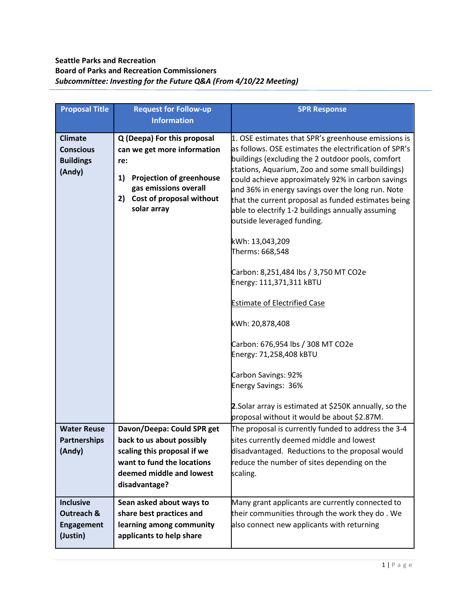## **Seattle Parks and Recreation Board of Parks and Recreation Commissioners** *Subcommittee: Investing for the Future Q&A (From 4/10/22 Meeting)*

| <b>Proposal Title</b>                                            | <b>Request for Follow-up</b>                                                                                                                                                         | <b>SPR Response</b>                                                                                                                                                                                                                                                                                                                                                                                                                                                                                                                                                                                                                                                                                                                                                                                                                                                            |
|------------------------------------------------------------------|--------------------------------------------------------------------------------------------------------------------------------------------------------------------------------------|--------------------------------------------------------------------------------------------------------------------------------------------------------------------------------------------------------------------------------------------------------------------------------------------------------------------------------------------------------------------------------------------------------------------------------------------------------------------------------------------------------------------------------------------------------------------------------------------------------------------------------------------------------------------------------------------------------------------------------------------------------------------------------------------------------------------------------------------------------------------------------|
|                                                                  | <b>Information</b>                                                                                                                                                                   |                                                                                                                                                                                                                                                                                                                                                                                                                                                                                                                                                                                                                                                                                                                                                                                                                                                                                |
| <b>Climate</b><br><b>Conscious</b><br><b>Buildings</b><br>(Andy) | Q (Deepa) For this proposal<br>can we get more information<br>re:<br><b>Projection of greenhouse</b><br>1)<br>gas emissions overall<br>Cost of proposal without<br>2)<br>solar array | 1. OSE estimates that SPR's greenhouse emissions is<br>as follows. OSE estimates the electrification of SPR's<br>buildings (excluding the 2 outdoor pools, comfort<br>stations, Aquarium, Zoo and some small buildings)<br>could achieve approximately 92% in carbon savings<br>and 36% in energy savings over the long run. Note<br>that the current proposal as funded estimates being<br>able to electrify 1-2 buildings annually assuming<br>outside leveraged funding.<br>kWh: 13,043,209<br>Therms: 668,548<br>Carbon: 8,251,484 lbs / 3,750 MT CO2e<br>Energy: 111,371,311 kBTU<br><b>Estimate of Electrified Case</b><br>kWh: 20,878,408<br>Carbon: 676,954 lbs / 308 MT CO2e<br>Energy: 71,258,408 kBTU<br>Carbon Savings: 92%<br><b>Energy Savings: 36%</b><br>2. Solar array is estimated at \$250K annually, so the<br>proposal without it would be about \$2.87M. |
| <b>Water Reuse</b><br>Partnerships<br>(Andy)                     | Davon/Deepa: Could SPR get<br>back to us about possibly<br>scaling this proposal if we                                                                                               | The proposal is currently funded to address the 3-4<br>sites currently deemed middle and lowest<br>disadvantaged. Reductions to the proposal would                                                                                                                                                                                                                                                                                                                                                                                                                                                                                                                                                                                                                                                                                                                             |
|                                                                  | want to fund the locations<br>deemed middle and lowest<br>disadvantage?                                                                                                              | reduce the number of sites depending on the<br>scaling.                                                                                                                                                                                                                                                                                                                                                                                                                                                                                                                                                                                                                                                                                                                                                                                                                        |
| <b>Inclusive</b><br>Outreach &<br><b>Engagement</b><br>(Justin)  | Sean asked about ways to<br>share best practices and<br>learning among community<br>applicants to help share                                                                         | Many grant applicants are currently connected to<br>their communities through the work they do. We<br>also connect new applicants with returning                                                                                                                                                                                                                                                                                                                                                                                                                                                                                                                                                                                                                                                                                                                               |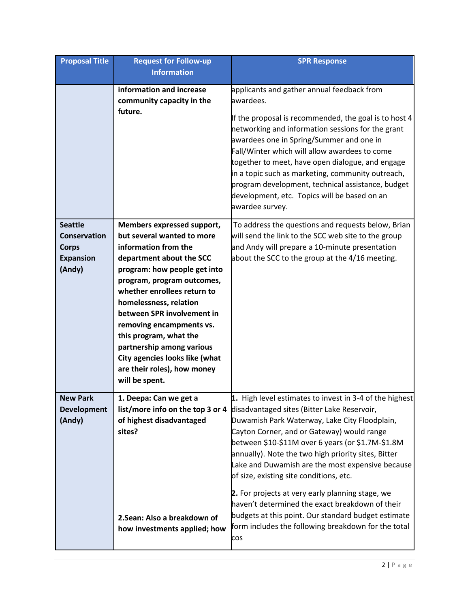| <b>Proposal Title</b>                                                               | <b>Request for Follow-up</b><br><b>Information</b>                                                                                                                                                                                                                                                                                                                                                                                      | <b>SPR Response</b>                                                                                                                                                                                                                                                                                                                                                                                                                                                                                                                                                                                                                          |
|-------------------------------------------------------------------------------------|-----------------------------------------------------------------------------------------------------------------------------------------------------------------------------------------------------------------------------------------------------------------------------------------------------------------------------------------------------------------------------------------------------------------------------------------|----------------------------------------------------------------------------------------------------------------------------------------------------------------------------------------------------------------------------------------------------------------------------------------------------------------------------------------------------------------------------------------------------------------------------------------------------------------------------------------------------------------------------------------------------------------------------------------------------------------------------------------------|
|                                                                                     | information and increase<br>community capacity in the<br>future.                                                                                                                                                                                                                                                                                                                                                                        | applicants and gather annual feedback from<br>awardees.<br>If the proposal is recommended, the goal is to host 4<br>networking and information sessions for the grant<br>awardees one in Spring/Summer and one in<br>Fall/Winter which will allow awardees to come<br>together to meet, have open dialogue, and engage<br>in a topic such as marketing, community outreach,<br>program development, technical assistance, budget<br>development, etc. Topics will be based on an<br>awardee survey.                                                                                                                                          |
| <b>Seattle</b><br><b>Conservation</b><br><b>Corps</b><br><b>Expansion</b><br>(Andy) | Members expressed support,<br>but several wanted to more<br>information from the<br>department about the SCC<br>program: how people get into<br>program, program outcomes,<br>whether enrollees return to<br>homelessness, relation<br>between SPR involvement in<br>removing encampments vs.<br>this program, what the<br>partnership among various<br>City agencies looks like (what<br>are their roles), how money<br>will be spent. | To address the questions and requests below, Brian<br>will send the link to the SCC web site to the group<br>and Andy will prepare a 10-minute presentation<br>about the SCC to the group at the 4/16 meeting.                                                                                                                                                                                                                                                                                                                                                                                                                               |
| <b>New Park</b><br><b>Development</b><br>(Andy)                                     | 1. Deepa: Can we get a<br>list/more info on the top 3 or 4<br>of highest disadvantaged<br>sites?<br>2. Sean: Also a breakdown of<br>how investments applied; how                                                                                                                                                                                                                                                                        | 1. High level estimates to invest in 3-4 of the highest<br>disadvantaged sites (Bitter Lake Reservoir,<br>Duwamish Park Waterway, Lake City Floodplain,<br>Cayton Corner, and or Gateway) would range<br>between \$10-\$11M over 6 years (or \$1.7M-\$1.8M<br>annually). Note the two high priority sites, Bitter<br>Lake and Duwamish are the most expensive because<br>of size, existing site conditions, etc.<br>2. For projects at very early planning stage, we<br>haven't determined the exact breakdown of their<br>budgets at this point. Our standard budget estimate<br>form includes the following breakdown for the total<br>cos |